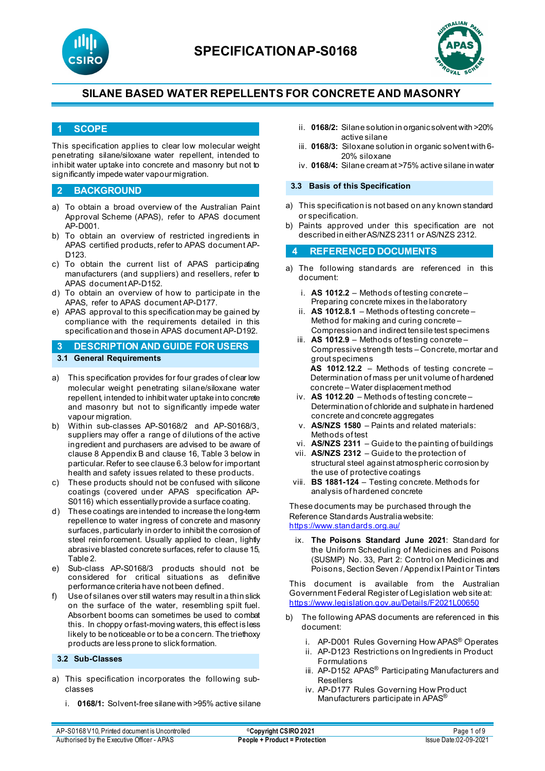



#### **1 SCOPE**

This specification applies to clear low molecular weight penetrating silane/siloxane water repellent, intended to inhibit water uptake into concrete and masonry but not to significantly impede water vapour migration.

#### **2 BACKGROUND**

- a) To obtain a broad overview of the Australian Paint Approval Scheme (APAS), refer to APAS document AP-D001.
- b) To obtain an overview of restricted ingredients in APAS certified products, refer to APAS document AP-D<sub>123</sub>
- c) To obtain the current list of APAS participating manufacturers (and suppliers) and resellers, refer to APAS document AP-D152.
- d) To obtain an overview of how to participate in the APAS, refer to APAS document AP-D177.
- e) APAS approval to this specification may be gained by compliance with the requirements detailed in this specification and those in APAS document AP-D192.

#### **3 DESCRIPTION AND GUIDE FOR USERS 3.1 General Requirements**

- a) This specification provides for four grades of clear low molecular weight penetrating silane/siloxane water repellent, intended to inhibit water uptake into concrete and masonry but not to significantly impede water vapour migration.
- b) Within sub-classes AP-S0168/2 and AP-S0168/3, suppliers may offer a range of dilutions of the active ingredient and purchasers are advised to be aware of clause 8 Appendix B and clause 16, Table 3 below in particular. Refer to see clause 6.3 below for important health and safety issues related to these products.
- c) These products should not be confused with silicone coatings (covered under APAS specification AP-S0116) which essentially provide a surface coating.
- d) These coatings are intended to increase the long-term repellence to water ingress of concrete and masonry surfaces, particularly in order to inhibit the corrosion of steel reinforcement. Usually applied to clean, lightly abrasive blasted concrete surfaces, refer to clause 15, Table 2.
- e) Sub-class AP-S0168/3 products should not be considered for critical situations as definitive performance criteria have not been defined.
- f) Use of silanes over still waters may result in a thin slick on the surface of the water, resembling spilt fuel. Absorbent booms can sometimes be used to combat this. In choppy or fast-moving waters, this effect is less likely to be noticeable or to be a concern. The triethoxy products are less prone to slick formation.

#### **3.2 Sub-Classes**

- a) This specification incorporates the following subclasses
	- i. **0168/1:** Solvent-free silane with >95% active silane
- ii. **0168/2:** Silane solution in organic solvent with >20% active silane
- iii. **0168/3:** Siloxane solution in organic solvent with 6- 20% siloxane
- iv. **0168/4:** Silane cream at >75% active silane in water

#### **3.3 Basis of this Specification**

- a) This specification is not based on any known standard or specification.
- b) Paints approved under this specification are not described in either AS/NZS 2311 or AS/NZS 2312.

#### **4 REFERENCED DOCUMENTS**

- a) The following standards are referenced in this document:
	- i. **AS 1012.2** Methods of testing concrete Preparing concrete mixes in the laboratory
	- ii. **AS 1012.8.1** Methods of testing concrete Method for making and curing concrete – Compression and indirect tensile test specimens
	- iii. **AS 1012.9** Methods of testing concrete Compressive strength tests – Concrete, mortar and grout specimens **AS 1012**.**12.2** – Methods of testing concrete – Determination of mass per unit volume of hardened concrete – Water displacement method
	- iv. **AS 1012**.**20**  Methods of testing concrete Determination of chloride and sulphate in hardened concrete and concrete aggregates
	- v. **AS/NZS 1580** Paints and related materials: Methods of test
	- vi. **AS/NZS 2311**  Guide to the painting of buildings
	- vii. **AS/NZS 2312**  Guide to the protection of structural steel against atmospheric corrosion by the use of protective coatings
	- viii. **BS 1881-124** Testing concrete. Methods for analysis of hardened concrete

These documents may be purchased through the Reference Standards Australia website: <https://www.standards.org.au/>

ix. **The Poisons Standard June 2021**: Standard for the Uniform Scheduling of Medicines and Poisons (SUSMP) No. 33, Part 2: Control on Medicines and Poisons, Section Seven / Appendix I Paint or Tinters

This document is available from the Australian Government Federal Register of Legislation web site at: <https://www.legislation.gov.au/Details/F2021L00650>

- b) The following APAS documents are referenced in this document:
	- i. AP-D001 Rules Governing How APAS® Operates
	- ii. AP-D123 Restrictions on Ingredients in Product Formulations
	- iii. AP-D152 APAS<sup>®</sup> Participating Manufacturers and Resellers
	- iv. AP-D177 Rules Governing How Product Manufacturers participate in APAS<sup>®</sup>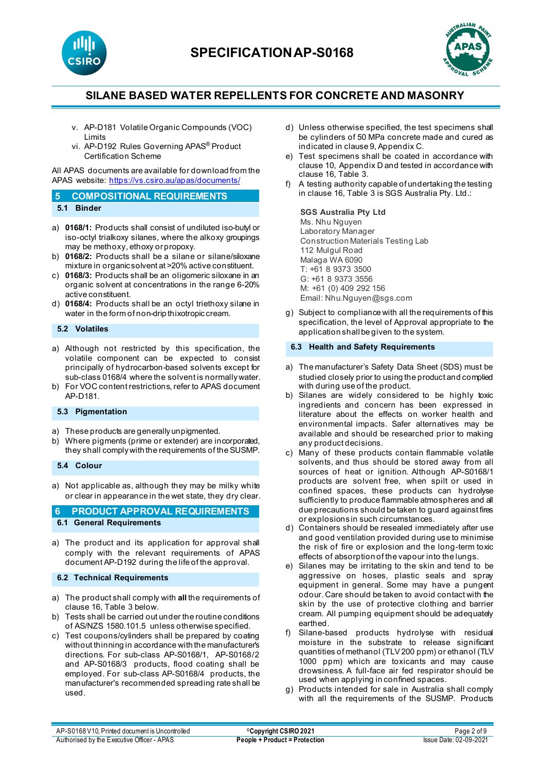



- v. AP-D181 Volatile Organic Compounds (VOC) Limits
- vi. AP-D192 Rules Governing APAS® Product Certification Scheme

All APAS documents are available for download from the APAS website: <https://vs.csiro.au/apas/documents/>

| 5 COMPOSITIONAL REQUIREMENTS |
|------------------------------|
| 5.1 Binder                   |

- a) **0168/1:** Products shall consist of undiluted iso-butyl or iso-octyl trialkoxy silanes, where the alkoxy groupings may be methoxy, ethoxy or propoxy.
- b) **0168/2:** Products shall be a silane or silane/siloxane mixture in organic solvent at >20% active constituent.
- c) **0168/3:** Products shall be an oligomeric siloxane in an organic solvent at concentrations in the range 6-20% active constituent.
- d) **0168/4:** Products shall be an octyl triethoxy silane in water in the form of non-drip thixotropic cream.

### **5.2 Volatiles**

- a) Although not restricted by this specification, the volatile component can be expected to consist principally of hydrocarbon-based solvents except for sub-class 0168/4 where the solvent is normally water.
- b) For VOC content restrictions, refer to APAS document AP-D181.

# **5.3 Pigmentation**

- a) These products are generally unpigmented.
- b) Where pigments (prime or extender) are incorporated, they shall comply with the requirements of the SUSMP.

**5.4 Colour**

a) Not applicable as, although they may be milky white or clear in appearance in the wet state, they dry clear.

**6 PRODUCT APPROVAL REQUIREMENTS 6.1 General Requirements**

- a) The product and its application for approval shall comply with the relevant requirements of APAS document AP-D192 during the life of the approval.
- **6.2 Technical Requirements**
- a) The product shall comply with **all** the requirements of clause 16, Table 3 below.
- b) Tests shall be carried out under the routine conditions of AS/NZS 1580.101.5 unless otherwise specified.
- c) Test coupons/cylinders shall be prepared by coating without thinning in accordance with the manufacturer's directions. For sub-class AP-S0168/1, AP-S0168/2 and AP-S0168/3 products, flood coating shall be employed. For sub-class AP-S0168/4 products, the manufacturer's recommended spreading rate shall be used.
- d) Unless otherwise specified, the test specimens shall be cylinders of 50 MPa concrete made and cured as indicated in clause 9, Appendix C.
- e) Test specimens shall be coated in accordance with clause 10, Appendix D and tested in accordance with clause 16, Table 3.
- f) A testing authority capable of undertaking the testing in clause 16, Table 3 is SGS Australia Pty. Ltd.:

#### **SGS Australia Pty Ltd**

Ms. Nhu Nguyen Laboratory Manager Construction Materials Testing Lab 112 Mulgul Road Malaga WA 6090 T: +61 8 9373 3500 G: +61 8 9373 3556 M: +61 (0) 409 292 156 Email: Nhu.Nguyen@sgs.com

g) Subject to compliance with all the requirements of this specification, the level of Approval appropriate to the application shall be given to the system.

#### **6.3 Health and Safety Requirements**

- a) The manufacturer's Safety Data Sheet (SDS) must be studied closely prior to using the product and complied with during use of the product.
- b) Silanes are widely considered to be highly toxic ingredients and concern has been expressed in literature about the effects on worker health and environmental impacts. Safer alternatives may be available and should be researched prior to making any product decisions.
- c) Many of these products contain flammable volatile solvents, and thus should be stored away from all sources of heat or ignition. Although AP-S0168/1 products are solvent free, when spilt or used in confined spaces, these products can hydrolyse sufficiently to produce flammable atmospheres and all due precautions should be taken to guard against fires or explosions in such circumstances.
- d) Containers should be resealed immediately after use and good ventilation provided during use to minimise the risk of fire or explosion and the long-term toxic effects of absorption of the vapour into the lungs.
- e) Silanes may be irritating to the skin and tend to be aggressive on hoses, plastic seals and spray equipment in general. Some may have a pungent odour. Care should be taken to avoid contact with the skin by the use of protective clothing and barrier cream. All pumping equipment should be adequately earthed.
- f) Silane-based products hydrolyse with residual moisture in the substrate to release significant quantities of methanol (TLV 200 ppm) or ethanol (TLV 1000 ppm) which are toxicants and may cause drowsiness. A full-face air fed respirator should be used when applying in confined spaces.
- g) Products intended for sale in Australia shall comply with all the requirements of the SUSMP. Products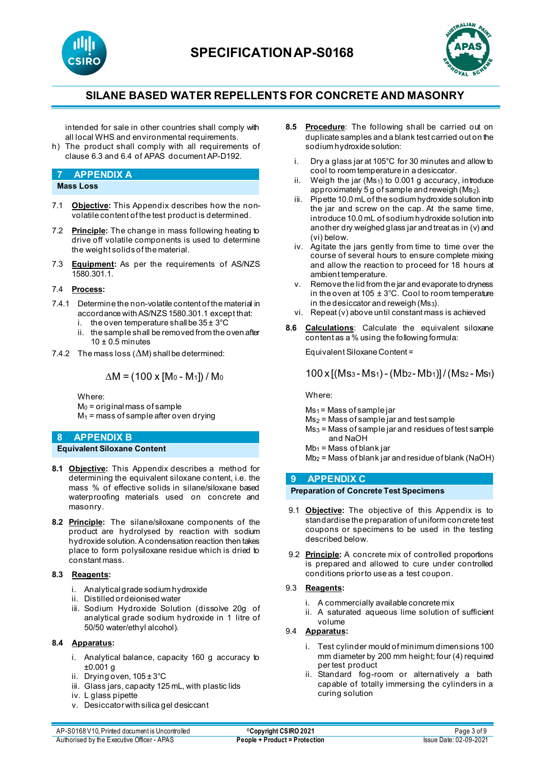



intended for sale in other countries shall comply with all local WHS and environmental requirements.

h) The product shall comply with all requirements of clause 6.3 and 6.4 of APAS document AP-D192.

# **7 APPENDIX A**

- **Mass Loss**
- 7.1 **Objective:** This Appendix describes how the nonvolatile content of the test product is determined.
- 7.2 **Principle:** The change in mass following heating to drive off volatile components is used to determine the weight solids of the material.
- 7.3 **Equipment:** As per the requirements of AS/NZS 1580.301.1.

#### 7.4 **Process:**

- 7.4.1 Determine the non-volatile content of the material in accordance with AS/NZS 1580.301.1 except that:
	- i. the oven temperature shall be  $35 \pm 3^{\circ}$ C
	- ii. the sample shall be removed from the oven after  $10 \pm 0.5$  minutes
- 7.4.2 The mass loss (∆M) shall be determined:

$$
\Delta M = (100 \times [M_0 - M_1]) / M_0
$$

Where:

 $M<sub>0</sub>$  = original mass of sample  $M_1$  = mass of sample after oven drying

# **8 APPENDIX B**

**Equivalent Siloxane Content**

- **8.1 Objective:** This Appendix describes a method for determining the equivalent siloxane content, i.e. the mass % of effective solids in silane/siloxane based waterproofing materials used on concrete and masonry.
- **8.2 Principle:** The silane/siloxane components of the product are hydrolysed by reaction with sodium hydroxide solution. A condensation reaction then takes place to form polysiloxane residue which is dried to constant mass.

### **8.3 Reagents:**

- i. Analytical grade sodium hydroxide
- ii. Distilled or deionised water
- iii. Sodium Hydroxide Solution (dissolve 20g of analytical grade sodium hydroxide in 1 litre of 50/50 water/ethyl alcohol).

### **8.4 Apparatus:**

- i. Analytical balance, capacity 160 g accuracy to ±0.001 g
- ii. Drying oven, 105 ± 3°C
- iii. Glass jars, capacity 125 mL, with plastic lids
- iv. L glass pipette
- v. Desiccator with silica gel desiccant
- **8.5 Procedure**: The following shall be carried out on duplicate samples and a blank test carried out on the sodium hydroxide solution:
	- i. Dry a glass jar at 105°C for 30 minutes and allow to cool to room temperature in a desiccator.
	- ii. Weigh the jar  $(Ms<sub>1</sub>)$  to 0.001 g accuracy, introduce approximately 5 g of sample and reweigh (Ms2).
	- iii. Pipette 10.0 mL of the sodium hydroxide solution into the jar and screw on the cap. At the same time, introduce 10.0 mL of sodium hydroxide solution into another dry weighed glass jar and treat as in (v) and (vi) below.
	- iv. Agitate the jars gently from time to time over the course of several hours to ensure complete mixing and allow the reaction to proceed for 18 hours at ambient temperature.
	- v. Remove the lid from the jar and evaporate to dryness in the oven at  $105 \pm 3^{\circ}$ C. Cool to room temperature in the desiccator and reweigh  $(Ms<sub>3</sub>)$ .
	- vi. Repeat (v) above until constant mass is achieved
- **8.6 Calculations**: Calculate the equivalent siloxane content as a % using the following formula:

Equivalent Siloxane Content =

100 x [(Ms3 - Ms1) - (Mb2- Mb1)] / (Ms2 - Ms1)

Where:

- $Ms<sub>1</sub> = Mass of sample jar$
- Ms2 = Mass of sample jar and test sample
- $Ms<sub>3</sub> = Mass of sample jar and residues of test sample$ and NaOH
- $Mb<sub>1</sub> = Mass of blank jar$
- $Mb<sub>2</sub> = Mass of blank jar and residue of blank (NaOH)$

### **9 APPENDIX C**

### **Preparation of Concrete Test Specimens**

- 9.1 **Objective:** The objective of this Appendix is to standardise the preparation of uniform concrete test coupons or specimens to be used in the testing described below.
- 9.2 **Principle:** A concrete mix of controlled proportions is prepared and allowed to cure under controlled conditions prior to use as a test coupon.
- 9.3 **Reagents:**
	- i. A commercially available concrete mix
	- ii. A saturated aqueous lime solution of sufficient volume

### 9.4 **Apparatus:**

- i. Test cylinder mould of minimum dimensions 100 mm diameter by 200 mm height; four (4) required per test product
- ii. Standard fog-room or alternatively a bath capable of totally immersing the cylinders in a curing solution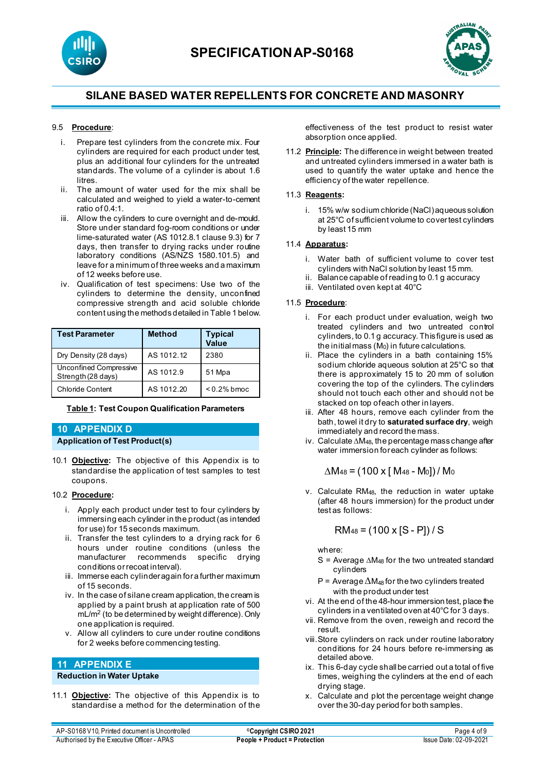



### 9.5 **Procedure**:

- i. Prepare test cylinders from the concrete mix. Four cylinders are required for each product under test, plus an additional four cylinders for the untreated standards. The volume of a cylinder is about 1.6 litres.
- ii. The amount of water used for the mix shall be calculated and weighed to yield a water-to-cement ratio of 0.4:1.
- iii. Allow the cylinders to cure overnight and de-mould. Store under standard fog-room conditions or under lime-saturated water (AS 1012.8.1 clause 9.3) for 7 days, then transfer to drying racks under routine laboratory conditions (AS/NZS 1580.101.5) and leave for a minimum of three weeks and a maximum of 12 weeks before use.
- iv. Qualification of test specimens: Use two of the cylinders to determine the density, unconfined compressive strength and acid soluble chloride content using the methods detailed in Table 1 below.

| <b>Test Parameter</b>                        | <b>Method</b> | <b>Typical</b><br><b>Value</b> |
|----------------------------------------------|---------------|--------------------------------|
| Dry Density (28 days)                        | AS 1012.12    | 2380                           |
| Unconfined Compressive<br>Strength (28 days) | AS 1012.9     | 51 Mpa                         |
| <b>Chloride Content</b>                      | AS 1012.20    | $< 0.2\%$ bmoc                 |

#### **Table 1: Test Coupon Qualification Parameters**

### **10 APPENDIX D Application of Test Product(s)**

10.1 **Objective:** The objective of this Appendix is to standardise the application of test samples to test coupons.

#### 10.2 **Procedure:**

- i. Apply each product under test to four cylinders by immersing each cylinder in the product (as intended for use) for 15 seconds maximum.
- ii. Transfer the test cylinders to a drying rack for 6 hours under routine conditions (unless the manufacturer recommends specific drying conditions or recoat interval).
- iii. Immerse each cylinder again for a further maximum of 15 seconds.
- iv. In the case of silane cream application, the cream is applied by a paint brush at application rate of 500 mL/m2 (to be determined by weight difference). Only one application is required.
- v. Allow all cylinders to cure under routine conditions for 2 weeks before commencing testing.

## **11 APPENDIX E**

#### **Reduction in Water Uptake**

11.1 **Objective:** The objective of this Appendix is to standardise a method for the determination of the effectiveness of the test product to resist water absorption once applied.

11.2 **Principle:** The difference in weight between treated and untreated cylinders immersed in a water bath is used to quantify the water uptake and hence the efficiency of the water repellence.

#### 11.3 **Reagents:**

i. 15% w/w sodium chloride (NaCl) aqueous solution at 25°C of sufficient volume to cover test cylinders by least 15 mm

#### 11.4 **Apparatus:**

- i. Water bath of sufficient volume to cover test cylinders with NaCl solution by least 15 mm.
- ii. Balance capable of reading to 0.1 g accuracy
- iii. Ventilated oven kept at 40°C

#### 11.5 **Procedure**:

- i. For each product under evaluation, weigh two treated cylinders and two untreated control cylinders, to 0.1 g accuracy. This figure is used as the initial mass  $(M<sub>0</sub>)$  in future calculations.
- ii. Place the cylinders in a bath containing 15% sodium chloride aqueous solution at 25°C so that there is approximately 15 to 20 mm of solution covering the top of the cylinders. The cylinders should not touch each other and should not be stacked on top of each other in layers.
- iii. After 48 hours, remove each cylinder from the bath, towel it dry to **saturated surface dry**, weigh immediately and record the mass.
- iv. Calculate ∆M48, the percentage mass change after water immersion for each cylinder as follows:

$$
\Delta M_{48} = (100 \times [M_{48} - M_{0}]) / M_{0}
$$

v. Calculate RM48, the reduction in water uptake (after 48 hours immersion) for the product under test as follows:

$$
RM_{48} = (100 \times [S - P]) / S
$$

where:

- S = Average ∆M48 for the two untreated standard cylinders
- P = Average ∆M<sub>48</sub> for the two cylinders treated with the product under test
- vi. At the end of the 48-hour immersion test, place the cylinders in a ventilated oven at 40°C for 3 days.
- vii. Remove from the oven, reweigh and record the result.
- viii.Store cylinders on rack under routine laboratory conditions for 24 hours before re-immersing as detailed above.
- ix. This 6-day cycle shall be carried out a total of five times, weighing the cylinders at the end of each drying stage.
- x. Calculate and plot the percentage weight change over the 30-day period for both samples.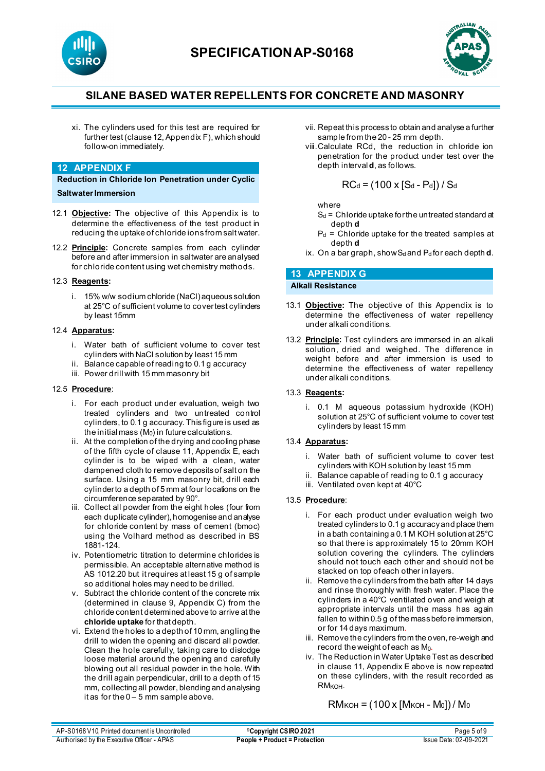



xi. The cylinders used for this test are required for further test (clause 12, Appendix F), which should follow-on immediately.

#### **12 APPENDIX F**

**Reduction in Chloride Ion Penetration under Cyclic Saltwater Immersion** 

- 12.1 **Objective:** The objective of this Appendix is to determine the effectiveness of the test product in reducing the uptake of chloride ions from salt water.
- 12.2 **Principle:** Concrete samples from each cylinder before and after immersion in saltwater are analysed for chloride content using wet chemistry methods.

#### 12.3 **Reagents:**

i. 15% w/w sodium chloride (NaCl)aqueous solution at 25°C of sufficient volume to cover test cylinders by least 15mm

#### 12.4 **Apparatus:**

- i. Water bath of sufficient volume to cover test cylinders with NaCl solution by least 15 mm
- ii. Balance capable of reading to 0.1 g accuracy
- iii. Power drill with 15 mm masonry bit

#### 12.5 **Procedure**:

- i. For each product under evaluation, weigh two treated cylinders and two untreated control cylinders, to 0.1 g accuracy. This figure is used as the initial mass  $(M<sub>0</sub>)$  in future calculations.
- ii. At the completion of the drying and cooling phase of the fifth cycle of clause 11, Appendix E, each cylinder is to be wiped with a clean, water dampened cloth to remove deposits of salt on the surface. Using a 15 mm masonry bit, drill each cylinder to a depth of 5 mm at four locations on the circumference separated by 90°.
- iii. Collect all powder from the eight holes (four from each duplicate cylinder), homogenise and analyse for chloride content by mass of cement (bmoc) using the Volhard method as described in BS 1881-124.
- iv. Potentiometric titration to determine chlorides is permissible. An acceptable alternative method is AS 1012.20 but it requires at least 15 g of sample so additional holes may need to be drilled.
- v. Subtract the chloride content of the concrete mix (determined in clause 9, Appendix C) from the chloride content determined above to arrive at the **chloride uptake** for that depth.
- vi. Extend the holes to a depth of 10 mm, angling the drill to widen the opening and discard all powder. Clean the hole carefully, taking care to dislodge loose material around the opening and carefully blowing out all residual powder in the hole. With the drill again perpendicular, drill to a depth of 15 mm, collecting all powder, blending and analysing it as for the  $0 - 5$  mm sample above.
- vii. Repeat this process to obtain and analyse a further sample from the 20 - 25 mm depth.
- viii.Calculate RCd, the reduction in chloride ion penetration for the product under test over the depth interval **d**, as follows.

 $RC_d = (100 \times [S_d - P_d]) / S_d$ 

where

- $S_d$  = Chloride uptake for the untreated standard at depth **d**
- $P_d$  = Chloride uptake for the treated samples at depth **d**
- ix. On a bar graph, show  $S_d$  and  $P_d$  for each depth **d**.

# **13 APPENDIX G**

**Alkali Resistance**

- 13.1 **Objective:** The objective of this Appendix is to determine the effectiveness of water repellency under alkali conditions.
- 13.2 **Principle:** Test cylinders are immersed in an alkali solution, dried and weighed. The difference in weight before and after immersion is used to determine the effectiveness of water repellency under alkali conditions.

#### 13.3 **Reagents:**

i. 0.1 M aqueous potassium hydroxide (KOH) solution at 25°C of sufficient volume to cover test cylinders by least 15 mm

#### 13.4 **Apparatus:**

- i. Water bath of sufficient volume to cover test cylinders with KOH solution by least 15 mm
- ii. Balance capable of reading to 0.1 g accuracy
- iii. Ventilated oven kept at 40°C

#### 13.5 **Procedure**:

- i. For each product under evaluation weigh two treated cylinders to 0.1 g accuracy and place them in a bath containing a 0.1 M KOH solution at 25°C so that there is approximately 15 to 20mm KOH solution covering the cylinders. The cylinders should not touch each other and should not be stacked on top of each other in layers.
- ii. Remove the cylinders from the bath after 14 days and rinse thoroughly with fresh water. Place the cylinders in a 40°C ventilated oven and weigh at appropriate intervals until the mass has again fallen to within 0.5 g of the mass before immersion, or for 14 days maximum.
- iii. Remove the cylinders from the oven, re-weigh and record the weight of each as M0.
- iv. The Reduction in Water Uptake Test as described in clause 11, Appendix E above is now repeated on these cylinders, with the result recorded as RM<sub>KOH</sub>.

 $RM<sub>KOH</sub> = (100 x [M<sub>KOH</sub> - M<sub>0</sub>])/M<sub>0</sub>$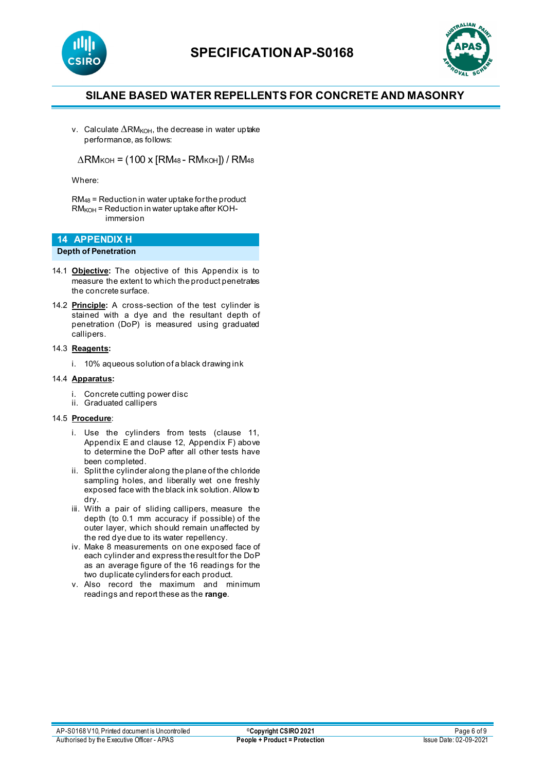



v. Calculate  $\Delta$ RM<sub>KOH</sub>, the decrease in water uptake performance, as follows:

 $\triangle$ RM<sub>KOH</sub> = (100 x [RM<sub>48</sub> - RM<sub>KOH</sub>]) / RM<sub>48</sub>

Where:

RM48 = Reduction in water uptake for the product  $RM<sub>KOH</sub>$  = Reduction in water uptake after KOHimmersion

# **14 APPENDIX H**

**Depth of Penetration**

- 14.1 **Objective:** The objective of this Appendix is to measure the extent to which the product penetrates the concrete surface.
- 14.2 **Principle:** A cross-section of the test cylinder is stained with a dye and the resultant depth of penetration (DoP) is measured using graduated callipers.

#### 14.3 **Reagents:**

i. 10% aqueous solution of a black drawing ink

#### 14.4 **Apparatus:**

- i. Concrete cutting power disc
- ii. Graduated callipers

#### 14.5 **Procedure**:

- i. Use the cylinders from tests (clause 11, Appendix E and clause 12, Appendix F) above to determine the DoP after all other tests have been completed.
- ii. Split the cylinder along the plane of the chloride sampling holes, and liberally wet one freshly exposed face with the black ink solution. Allow to dry.
- iii. With a pair of sliding callipers, measure the depth (to 0.1 mm accuracy if possible) of the outer layer, which should remain unaffected by the red dye due to its water repellency.
- iv. Make 8 measurements on one exposed face of each cylinder and express the result for the DoP as an average figure of the 16 readings for the two duplicate cylinders for each product.
- v. Also record the maximum and minimum readings and report these as the **range**.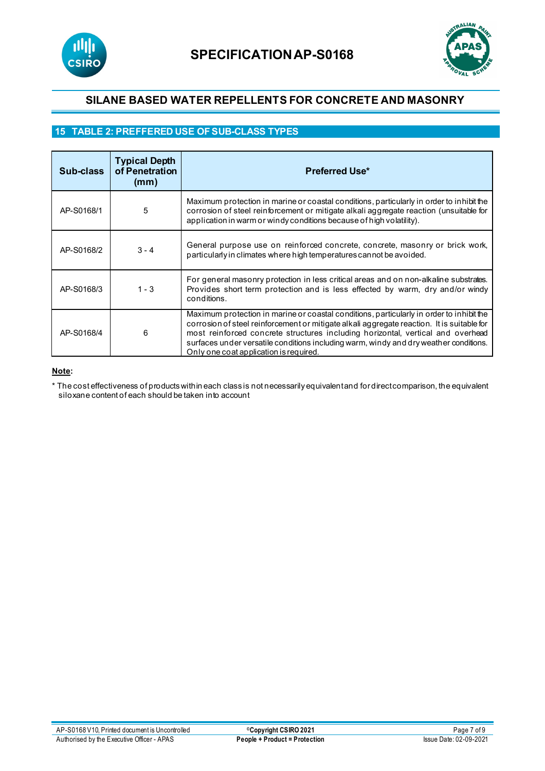



# **15 TABLE 2: PREFFERED USE OF SUB-CLASS TYPES**

| Sub-class  | <b>Typical Depth</b><br>of Penetration<br>(mm) | <b>Preferred Use*</b>                                                                                                                                                                                                                                                                                                                                                                                        |
|------------|------------------------------------------------|--------------------------------------------------------------------------------------------------------------------------------------------------------------------------------------------------------------------------------------------------------------------------------------------------------------------------------------------------------------------------------------------------------------|
| AP-S0168/1 | 5                                              | Maximum protection in marine or coastal conditions, particularly in order to inhibit the<br>corrosion of steel reinforcement or mitigate alkali aggregate reaction (unsuitable for<br>application in warm or windy conditions because of high volatility).                                                                                                                                                   |
| AP-S0168/2 | $3 - 4$                                        | General purpose use on reinforced concrete, concrete, masonry or brick work,<br>particularly in climates where high temperatures cannot be avoided.                                                                                                                                                                                                                                                          |
| AP-S0168/3 | $1 - 3$                                        | For general masonry protection in less critical areas and on non-alkaline substrates.<br>Provides short term protection and is less effected by warm, dry and/or windy<br>conditions.                                                                                                                                                                                                                        |
| AP-S0168/4 | 6                                              | Maximum protection in marine or coastal conditions, particularly in order to inhibit the<br>corrosion of steel reinforcement or mitigate alkali aggregate reaction. It is suitable for<br>most reinforced concrete structures including horizontal, vertical and overhead<br>surfaces under versatile conditions including warm, windy and dry weather conditions.<br>Only one coat application is required. |

### **Note:**

\* The cost effectiveness of products within each class is not necessarily equivalent and for direct comparison, the equivalent siloxane content of each should be taken into account**.**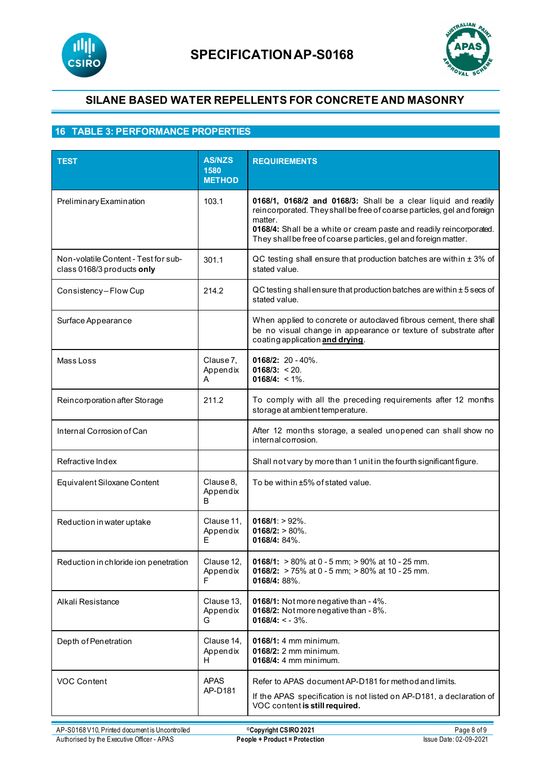



# **16 TABLE 3: PERFORMANCE PROPERTIES**

| <b>TEST</b>                                                        | <b>AS/NZS</b><br>1580<br><b>METHOD</b> | <b>REQUIREMENTS</b>                                                                                                                                                                                                                                                                            |
|--------------------------------------------------------------------|----------------------------------------|------------------------------------------------------------------------------------------------------------------------------------------------------------------------------------------------------------------------------------------------------------------------------------------------|
| Preliminary Examination                                            | 103.1                                  | 0168/1, 0168/2 and 0168/3: Shall be a clear liquid and readily<br>reincorporated. They shall be free of coarse particles, gel and foreign<br>matter.<br>0168/4: Shall be a white or cream paste and readily reincorporated.<br>They shall be free of coarse particles, gel and foreign matter. |
| Non-volatile Content - Test for sub-<br>class 0168/3 products only | 301.1                                  | QC testing shall ensure that production batches are within ± 3% of<br>stated value.                                                                                                                                                                                                            |
| Consistency-Flow Cup                                               | 214.2                                  | QC testing shall ensure that production batches are within ± 5 secs of<br>stated value.                                                                                                                                                                                                        |
| Surface Appearance                                                 |                                        | When applied to concrete or autoclaved fibrous cement, there shall<br>be no visual change in appearance or texture of substrate after<br>coating application and drying.                                                                                                                       |
| Mass Loss                                                          | Clause 7,<br>Appendix<br>A             | $0168/2$ : 20 - 40%.<br>$0168/3$ : < 20.<br>$0168/4$ : < 1%.                                                                                                                                                                                                                                   |
| Reincorporation after Storage                                      | 211.2                                  | To comply with all the preceding requirements after 12 months<br>storage at ambient temperature.                                                                                                                                                                                               |
| Internal Corrosion of Can                                          |                                        | After 12 months storage, a sealed unopened can shall show no<br>internal corrosion.                                                                                                                                                                                                            |
| Refractive Index                                                   |                                        | Shall not vary by more than 1 unit in the fourth significant figure.                                                                                                                                                                                                                           |
| Equivalent Siloxane Content                                        | Clause 8,<br>Appendix<br>B             | To be within ±5% of stated value.                                                                                                                                                                                                                                                              |
| Reduction in water uptake                                          | Clause 11,<br>Appendix<br>Е.           | $0168/1:$ > 92%.<br>$0168/2$ : > 80%.<br>0168/4: 84%.                                                                                                                                                                                                                                          |
| Reduction in chloride ion penetration                              | Clause 12,<br>Appendix<br>F            | 0168/1: $> 80\%$ at 0 - 5 mm; $> 90\%$ at 10 - 25 mm.<br>0168/2: > 75% at 0 - 5 mm; > 80% at 10 - 25 mm.<br>0168/4: 88%.                                                                                                                                                                       |
| Alkali Resistance                                                  | Clause 13,<br>Appendix<br>G            | 0168/1: Not more negative than - 4%.<br>0168/2: Not more negative than - 8%.<br>$0168/4$ : < - 3%.                                                                                                                                                                                             |
| Depth of Penetration                                               | Clause 14,<br>Appendix<br>H            | 0168/1: 4 mm minimum.<br>0168/2: 2 mm minimum.<br>$0168/4$ : 4 mm minimum.                                                                                                                                                                                                                     |
| VOC Content                                                        | <b>APAS</b><br>AP-D181                 | Refer to APAS document AP-D181 for method and limits.<br>If the APAS specification is not listed on AP-D181, a declaration of<br>VOC content is still required.                                                                                                                                |